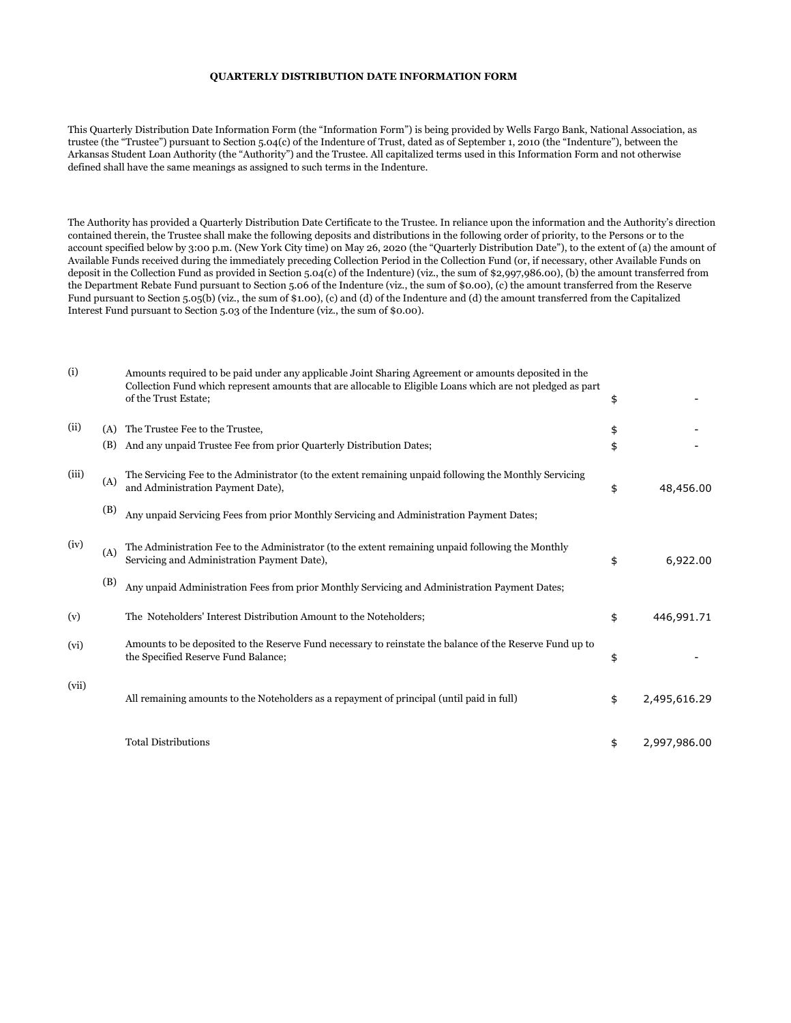## **QUARTERLY DISTRIBUTION DATE INFORMATION FORM**

This Quarterly Distribution Date Information Form (the "Information Form") is being provided by Wells Fargo Bank, National Association, as trustee (the "Trustee") pursuant to Section 5.04(c) of the Indenture of Trust, dated as of September 1, 2010 (the "Indenture"), between the Arkansas Student Loan Authority (the "Authority") and the Trustee. All capitalized terms used in this Information Form and not otherwise defined shall have the same meanings as assigned to such terms in the Indenture.

The Authority has provided a Quarterly Distribution Date Certificate to the Trustee. In reliance upon the information and the Authority's direction contained therein, the Trustee shall make the following deposits and distributions in the following order of priority, to the Persons or to the account specified below by 3:00 p.m. (New York City time) on May 26, 2020 (the "Quarterly Distribution Date"), to the extent of (a) the amount of Available Funds received during the immediately preceding Collection Period in the Collection Fund (or, if necessary, other Available Funds on deposit in the Collection Fund as provided in Section 5.04(c) of the Indenture) (viz., the sum of \$2,997,986.00), (b) the amount transferred from the Department Rebate Fund pursuant to Section 5.06 of the Indenture (viz., the sum of \$0.00), (c) the amount transferred from the Reserve Fund pursuant to Section 5.05(b) (viz., the sum of \$1.00), (c) and (d) of the Indenture and (d) the amount transferred from the Capitalized Interest Fund pursuant to Section 5.03 of the Indenture (viz., the sum of \$0.00).

| (i)   |     | Amounts required to be paid under any applicable Joint Sharing Agreement or amounts deposited in the<br>Collection Fund which represent amounts that are allocable to Eligible Loans which are not pledged as part<br>of the Trust Estate; | \$                 |
|-------|-----|--------------------------------------------------------------------------------------------------------------------------------------------------------------------------------------------------------------------------------------------|--------------------|
| (ii)  | (A) | The Trustee Fee to the Trustee.                                                                                                                                                                                                            | \$                 |
|       | (B) | And any unpaid Trustee Fee from prior Quarterly Distribution Dates;                                                                                                                                                                        | \$                 |
| (iii) | (A) | The Servicing Fee to the Administrator (to the extent remaining unpaid following the Monthly Servicing<br>and Administration Payment Date),                                                                                                | \$<br>48,456.00    |
|       | (B) | Any unpaid Servicing Fees from prior Monthly Servicing and Administration Payment Dates;                                                                                                                                                   |                    |
| (iv)  | (A) | The Administration Fee to the Administrator (to the extent remaining unpaid following the Monthly<br>Servicing and Administration Payment Date),                                                                                           | \$<br>6,922.00     |
|       | (B) | Any unpaid Administration Fees from prior Monthly Servicing and Administration Payment Dates;                                                                                                                                              |                    |
| (v)   |     | The Noteholders' Interest Distribution Amount to the Noteholders;                                                                                                                                                                          | \$<br>446,991.71   |
| (vi)  |     | Amounts to be deposited to the Reserve Fund necessary to reinstate the balance of the Reserve Fund up to<br>the Specified Reserve Fund Balance;                                                                                            | \$                 |
| (vii) |     | All remaining amounts to the Noteholders as a repayment of principal (until paid in full)                                                                                                                                                  | \$<br>2,495,616.29 |
|       |     | <b>Total Distributions</b>                                                                                                                                                                                                                 | \$<br>2,997,986.00 |